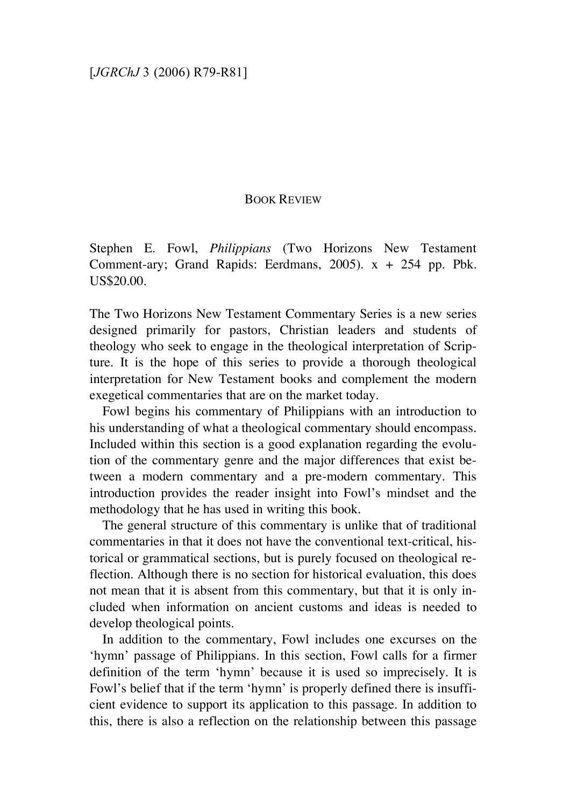## BOOK REVIEW

Stephen E. Fowl, *Philippians* (Two Horizons New Testament Comment-ary; Grand Rapids: Eerdmans, 2005). x + 254 pp. Pbk. US\$20.00.

The Two Horizons New Testament Commentary Series is a new series designed primarily for pastors, Christian leaders and students of theology who seek to engage in the theological interpretation of Scripture. It is the hope of this series to provide a thorough theological interpretation for New Testament books and complement the modern exegetical commentaries that are on the market today.

Fowl begins his commentary of Philippians with an introduction to his understanding of what a theological commentary should encompass. Included within this section is a good explanation regarding the evolution of the commentary genre and the major differences that exist between a modern commentary and a pre-modern commentary. This introduction provides the reader insight into Fowl's mindset and the methodology that he has used in writing this book.

The general structure of this commentary is unlike that of traditional commentaries in that it does not have the conventional text-critical, historical or grammatical sections, but is purely focused on theological reflection. Although there is no section for historical evaluation, this does not mean that it is absent from this commentary, but that it is only included when information on ancient customs and ideas is needed to develop theological points.

In addition to the commentary, Fowl includes one excurses on the 'hymn' passage of Philippians. In this section, Fowl calls for a firmer definition of the term 'hymn' because it is used so imprecisely. It is Fowl's belief that if the term 'hymn' is properly defined there is insufficient evidence to support its application to this passage. In addition to this, there is also a reflection on the relationship between this passage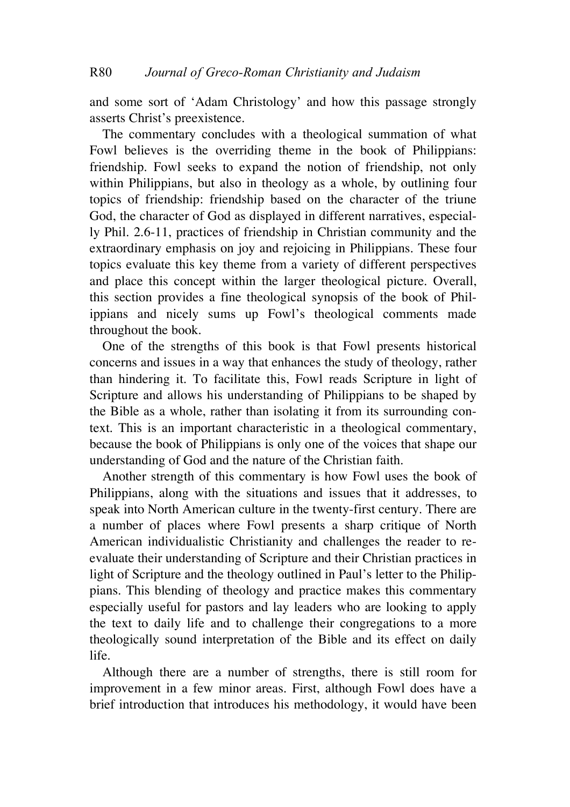and some sort of 'Adam Christology' and how this passage strongly asserts Christ's preexistence.

The commentary concludes with a theological summation of what Fowl believes is the overriding theme in the book of Philippians: friendship. Fowl seeks to expand the notion of friendship, not only within Philippians, but also in theology as a whole, by outlining four topics of friendship: friendship based on the character of the triune God, the character of God as displayed in different narratives, especially Phil. 2.6-11, practices of friendship in Christian community and the extraordinary emphasis on joy and rejoicing in Philippians. These four topics evaluate this key theme from a variety of different perspectives and place this concept within the larger theological picture. Overall, this section provides a fine theological synopsis of the book of Philippians and nicely sums up Fowl's theological comments made throughout the book.

One of the strengths of this book is that Fowl presents historical concerns and issues in a way that enhances the study of theology, rather than hindering it. To facilitate this, Fowl reads Scripture in light of Scripture and allows his understanding of Philippians to be shaped by the Bible as a whole, rather than isolating it from its surrounding context. This is an important characteristic in a theological commentary, because the book of Philippians is only one of the voices that shape our understanding of God and the nature of the Christian faith.

Another strength of this commentary is how Fowl uses the book of Philippians, along with the situations and issues that it addresses, to speak into North American culture in the twenty-first century. There are a number of places where Fowl presents a sharp critique of North American individualistic Christianity and challenges the reader to reevaluate their understanding of Scripture and their Christian practices in light of Scripture and the theology outlined in Paul's letter to the Philippians. This blending of theology and practice makes this commentary especially useful for pastors and lay leaders who are looking to apply the text to daily life and to challenge their congregations to a more theologically sound interpretation of the Bible and its effect on daily life.

Although there are a number of strengths, there is still room for improvement in a few minor areas. First, although Fowl does have a brief introduction that introduces his methodology, it would have been